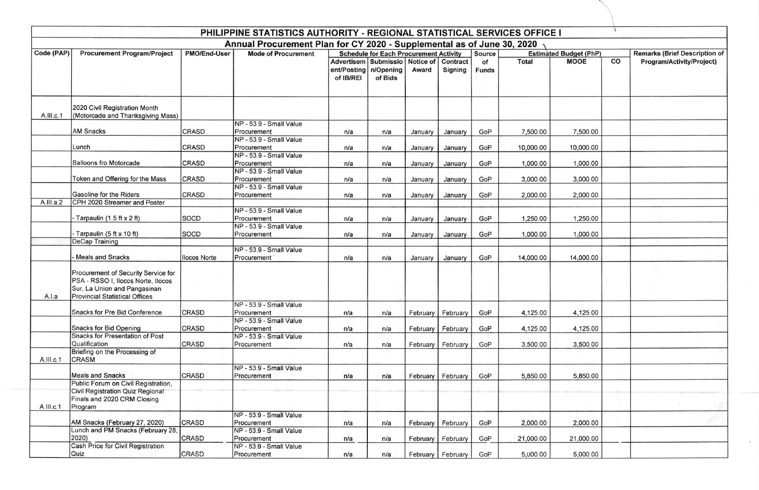| PHILIPPINE STATISTICS AUTHORITY - REGIONAL STATISTICAL SERVICES OFFICE I<br>Annual Procurement Plan for CY 2020 - Supplemental as of June 30, 2020 |                                                                                                                                                    |              |                                                                   |                          |                                                                       |         |                     |             |              |             |                                    |                           |
|----------------------------------------------------------------------------------------------------------------------------------------------------|----------------------------------------------------------------------------------------------------------------------------------------------------|--------------|-------------------------------------------------------------------|--------------------------|-----------------------------------------------------------------------|---------|---------------------|-------------|--------------|-------------|------------------------------------|---------------------------|
|                                                                                                                                                    |                                                                                                                                                    |              |                                                                   |                          |                                                                       |         |                     |             |              | Code (PAP)  | <b>Procurement Program/Project</b> | PMO/End-User              |
|                                                                                                                                                    |                                                                                                                                                    |              |                                                                   | ent/Posting<br>of IB/REI | Advertisem   Submissio   Notice of   Contract<br>n/Opening<br>of Bids | Award   | Signing             | of<br>Funds | <b>Total</b> | <b>MOOE</b> | CO                                 | Program/Activity/Project) |
| A.III.c.1                                                                                                                                          | 2020 Civil Registration Month<br>(Motorcade and Thanksgiving Mass)                                                                                 |              |                                                                   |                          |                                                                       |         |                     |             |              |             |                                    |                           |
|                                                                                                                                                    | <b>AM Snacks</b>                                                                                                                                   | CRASD        | NP - 53.9 - Small Value<br>Procurement                            | n/a                      | n/a                                                                   | January | January             | GoP         | 7,500.00     | 7,500.00    |                                    |                           |
|                                                                                                                                                    | Lunch                                                                                                                                              | <b>CRASD</b> | NP - 53.9 - Small Value<br>Procurement<br>NP - 53.9 - Small Value | n/a                      | n/a                                                                   | January | January             | GoP         | 10,000.00    | 10,000.00   |                                    |                           |
|                                                                                                                                                    | <b>Balloons fro Motorcade</b>                                                                                                                      | <b>CRASD</b> | Procurement<br>NP - 53.9 - Small Value                            | n/a                      | n/a                                                                   | January | January             | GoP         | 1,000.00     | 1,000.00    |                                    |                           |
|                                                                                                                                                    | Token and Offering for the Mass                                                                                                                    | <b>CRASD</b> | Procurement<br>NP - 53.9 - Small Value                            | n/a                      | n/a                                                                   | January | January             | GoP         | 3,000.00     | 3,000.00    |                                    |                           |
| A.III.a.2                                                                                                                                          | Gasoline for the Riders<br>CPH 2020 Streamer and Poster                                                                                            | <b>CRASD</b> | Procurement                                                       | n/a                      | n/a                                                                   | January | January             | GoP         | 2,000.00     | 2,000.00    |                                    |                           |
|                                                                                                                                                    | Tarpaulin (1.5 ft x 2 ft)                                                                                                                          | SOCD         | NP - 53.9 - Small Value<br>Procurement                            | n/a                      | n/a                                                                   | January | January             | GoP         | 1,250.00     | 1,250.00    |                                    |                           |
|                                                                                                                                                    | Tarpaulin (5 ft x 10 ft)                                                                                                                           | <b>SOCD</b>  | NP - 53.9 - Small Value<br>Procurement                            | n/a                      | n/a                                                                   | January | January             | GoP         | 1,000.00     | 1,000.00    |                                    |                           |
|                                                                                                                                                    | <b>DeCap Training</b>                                                                                                                              |              |                                                                   |                          |                                                                       |         |                     |             |              |             |                                    |                           |
|                                                                                                                                                    | <b>Meals and Snacks</b>                                                                                                                            | llocos Norte | NP - 53.9 - Small Value<br>Procurement                            | n/a                      | n/a                                                                   | January | January             | GoP         | 14,000.00    | 14,000.00   |                                    |                           |
| A.I.a                                                                                                                                              | Procurement of Security Service for<br>PSA - RSSO I, Ilocos Norte, Ilocos<br>Sur, La Union and Pangasinan<br><b>Provincial Statistical Offices</b> |              |                                                                   |                          |                                                                       |         |                     |             |              |             | $2 -$                              |                           |
|                                                                                                                                                    | Snacks for Pre Bid Conference                                                                                                                      | CRASD        | NP - 53.9 - Small Value<br>Procurement                            | n/a                      | n/a                                                                   |         | February February   | GoP         | 4,125.00     | 4,125.00    |                                    |                           |
|                                                                                                                                                    | Snacks for Bid Opening<br><b>Snacks for Presentation of Post</b>                                                                                   | <b>CRASD</b> | NP - 53.9 - Small Value<br>Procurement                            | n/a                      | n/a                                                                   |         | February February   | GoP         | 4,125.00     | 4,125.00    |                                    |                           |
|                                                                                                                                                    | Qualification<br>Briefing on the Processing of                                                                                                     | CRASD        | NP - 53.9 - Small Value<br>Procurement                            | n/a                      | n/a                                                                   |         | February February   | GoP         | 3,500.00     | 3,500.00    |                                    |                           |
| A.III.c.1                                                                                                                                          | <b>CRASM</b>                                                                                                                                       |              | NP - 53.9 - Small Value                                           |                          |                                                                       |         |                     |             |              |             |                                    |                           |
|                                                                                                                                                    | <b>Meals and Snacks</b><br>Public Forum on Civil Registration,                                                                                     | <b>CRASD</b> | Procurement                                                       | n/a                      | n/a                                                                   |         | February February   | GoP         | 5,850.00     | 5,850.00    |                                    |                           |
| A.III.c.1                                                                                                                                          | Civil Registration Quiz Regional<br>Finals and 2020 CRM Closing<br>Program                                                                         |              |                                                                   |                          |                                                                       |         |                     |             |              |             |                                    |                           |
|                                                                                                                                                    | AM Snacks (February 27, 2020)                                                                                                                      | <b>CRASD</b> | NP - 53.9 - Small Value<br>Procurement                            | n/a                      | n/a                                                                   |         | February February   | GoP         | 2,000.00     | 2,000.00    |                                    |                           |
|                                                                                                                                                    | Lunch and PM Snacks (February 28,<br>2020)                                                                                                         | <b>CRASD</b> | NP - 53.9 - Small Value<br>Procurement                            | n/a                      | n/a                                                                   |         | February February   | GoP         | 21,000.00    | 21,000.00   |                                    |                           |
|                                                                                                                                                    | Cash Price for Civil Registration<br>Quiz                                                                                                          | CRASD        | NP - 53.9 - Small Value<br>Procurement                            | n/a                      | n/a                                                                   |         | February   February | GoP         | 5,000.00     | 5,000.00    |                                    |                           |